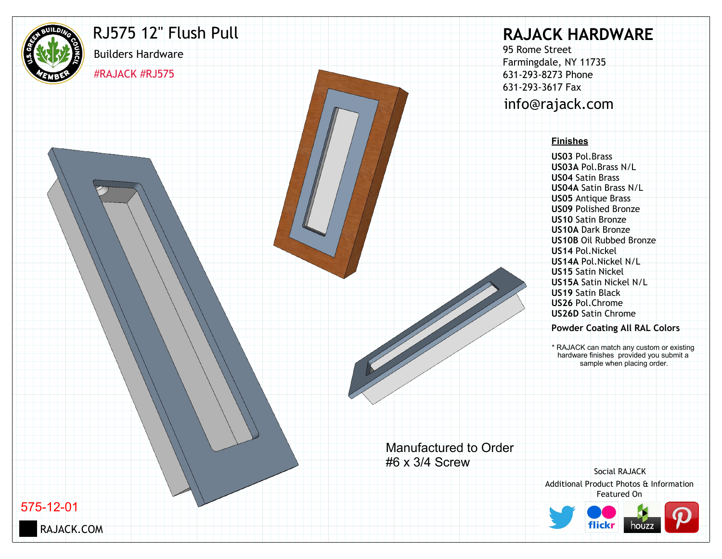

## RJ575 12" Flush Pull

#RAJACK #RJ575

Builders Hardware

# **RAJACK HARDWARE**

95 Rome Street Farmingdale, NY 11735 631-293-8273 Phone 631-293-3617 Fax info@rajack.com

#### **Finishes**

**US03** Pol.Brass **US03A** Pol.Brass N/L **US04** Satin Brass **US04A** Satin Brass N/L **US05** Antique Brass **US09** Polished Bronze **US10** Satin Bronze **US10A** Dark Bronze **US10B** Oil Rubbed Bronze **US14** Pol.Nickel **US14A** Pol.Nickel N/L **US15** Satin Nickel **US15A** Satin Nickel N/L **US19** Satin Black **US26** Pol.Chrome **US26D** Satin Chrome

#### **Powder Coating All RAL Colors**

\* RAJACK can match any custom or existing hardware finishes provided you submit a sample when placing order.

Manufactured to Order #6 x 3/4 Screw

Additional Product Photos & Information Featured On Social RAJACK



575-12-01

RAJACK.COM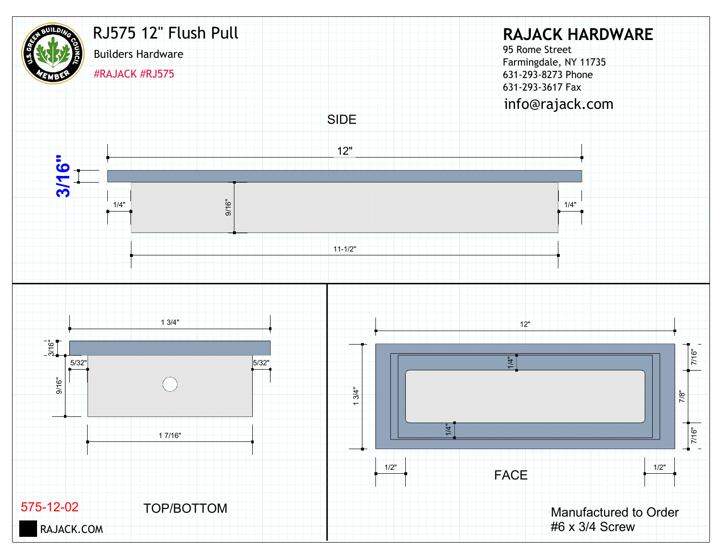